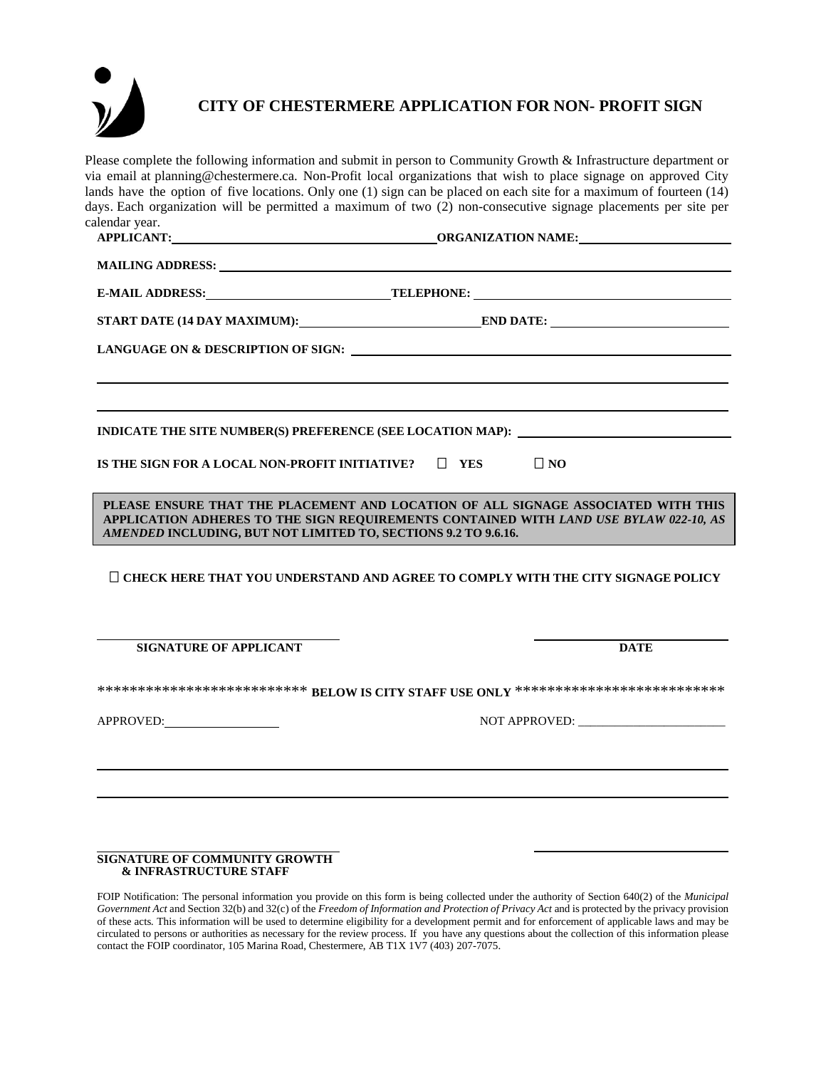

## **CITY OF CHESTERMERE APPLICATION FOR NON- PROFIT SIGN**

Please complete the following information and submit in person to Community Growth & Infrastructure department or via email at planning@chestermere.ca. Non-Profit local organizations that wish to place signage on approved City lands have the option of five locations. Only one (1) sign can be placed on each site for a maximum of fourteen (14) days. Each organization will be permitted a maximum of two (2) non-consecutive signage placements per site per calendar year.

| MAILING ADDRESS: University of the Second Contract of the Second Contract of the Second Contract of the Second Contract of the Second Contract of the Second Contract of the Second Contract of the Second Contract of the Sec               |                                                            |
|----------------------------------------------------------------------------------------------------------------------------------------------------------------------------------------------------------------------------------------------|------------------------------------------------------------|
|                                                                                                                                                                                                                                              | E-MAIL ADDRESS: TELEPHONE: TELEPHONE:                      |
|                                                                                                                                                                                                                                              |                                                            |
|                                                                                                                                                                                                                                              |                                                            |
|                                                                                                                                                                                                                                              |                                                            |
|                                                                                                                                                                                                                                              |                                                            |
|                                                                                                                                                                                                                                              | INDICATE THE SITE NUMBER(S) PREFERENCE (SEE LOCATION MAP): |
| IS THE SIGN FOR A LOCAL NON-PROFIT INITIATIVE? $\Box$ YES                                                                                                                                                                                    | $\Box$ NO                                                  |
| PLEASE ENSURE THAT THE PLACEMENT AND LOCATION OF ALL SIGNAGE ASSOCIATED WITH THIS<br>APPLICATION ADHERES TO THE SIGN REQUIREMENTS CONTAINED WITH LAND USE BYLAW 022-10, AS<br>AMENDED INCLUDING, BUT NOT LIMITED TO, SECTIONS 9.2 TO 9.6.16. |                                                            |
| $\Box$ CHECK HERE THAT YOU UNDERSTAND AND AGREE TO COMPLY WITH THE CITY SIGNAGE POLICY                                                                                                                                                       |                                                            |
| <b>SIGNATURE OF APPLICANT</b>                                                                                                                                                                                                                | <b>DATE</b>                                                |
| *************************** BELOW IS CITY STAFF USE ONLY ***************************                                                                                                                                                         |                                                            |
| APPROVED:                                                                                                                                                                                                                                    |                                                            |
|                                                                                                                                                                                                                                              |                                                            |
|                                                                                                                                                                                                                                              |                                                            |
|                                                                                                                                                                                                                                              |                                                            |
|                                                                                                                                                                                                                                              |                                                            |

## **SIGNATURE OF COMMUNITY GROWTH & INFRASTRUCTURE STAFF**

FOIP Notification: The personal information you provide on this form is being collected under the authority of Section 640(2) of the *Municipal*  Government Act and Section 32(b) and 32(c) of the *Freedom of Information and Protection of Privacy Act* and is protected by the privacy provision of these acts*.* This information will be used to determine eligibility for a development permit and for enforcement of applicable laws and may be circulated to persons or authorities as necessary for the review process. If you have any questions about the collection of this information please contact the FOIP coordinator, 105 Marina Road, Chestermere, AB T1X 1V7 (403) 207-7075.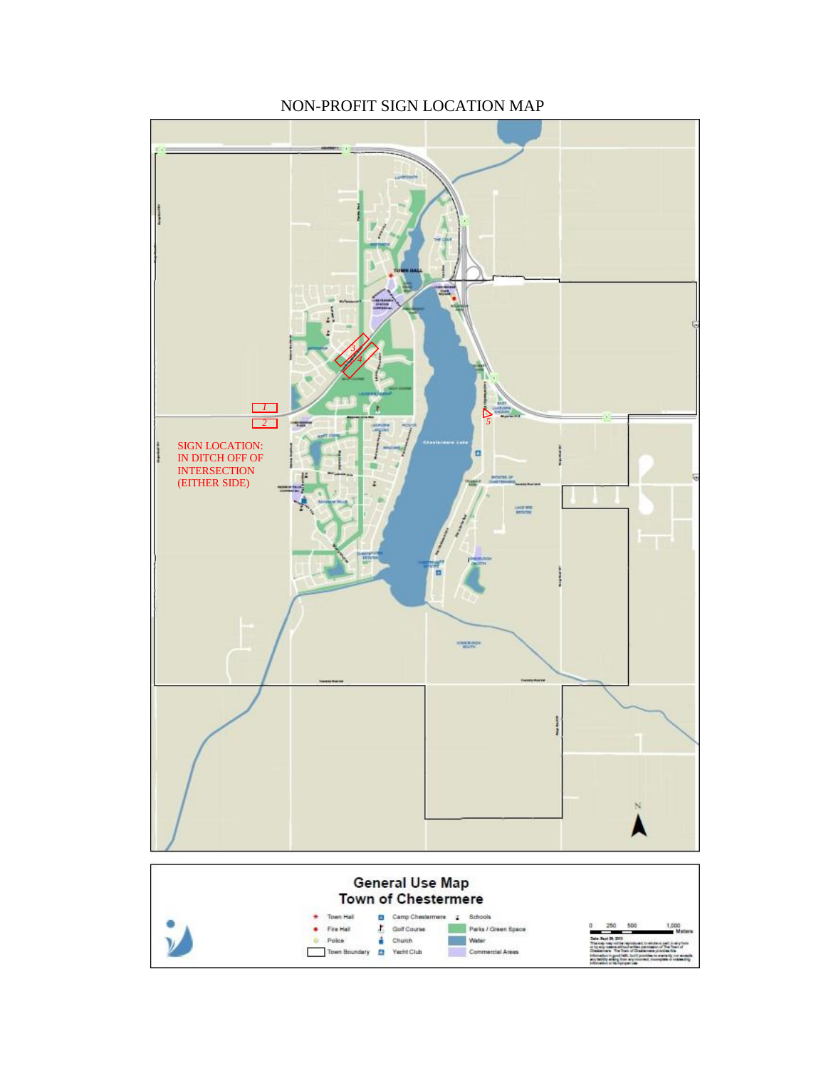

NON-PROFIT SIGN LOCATION MAP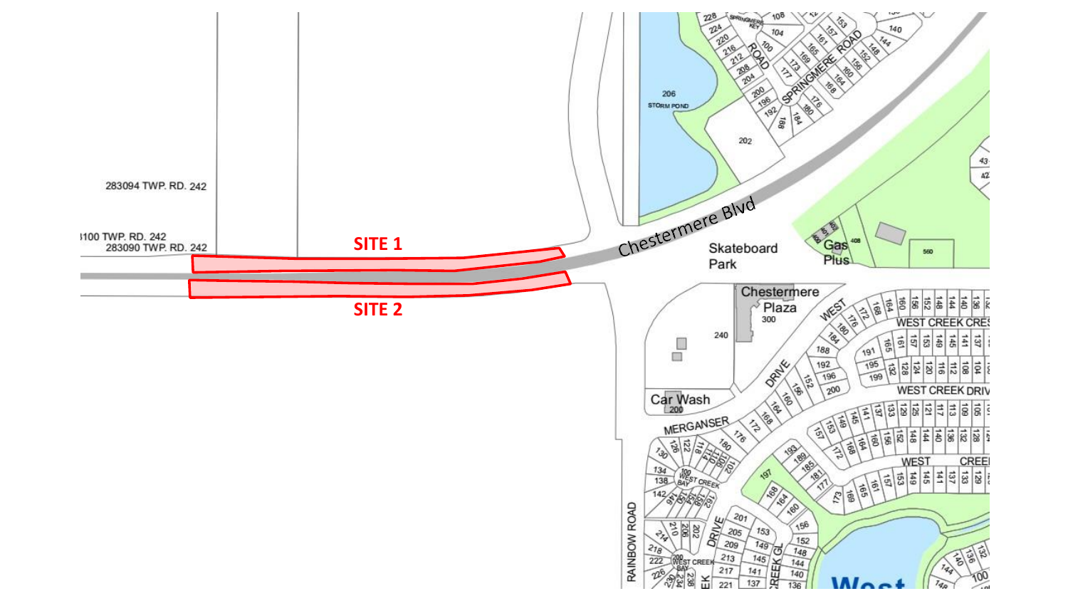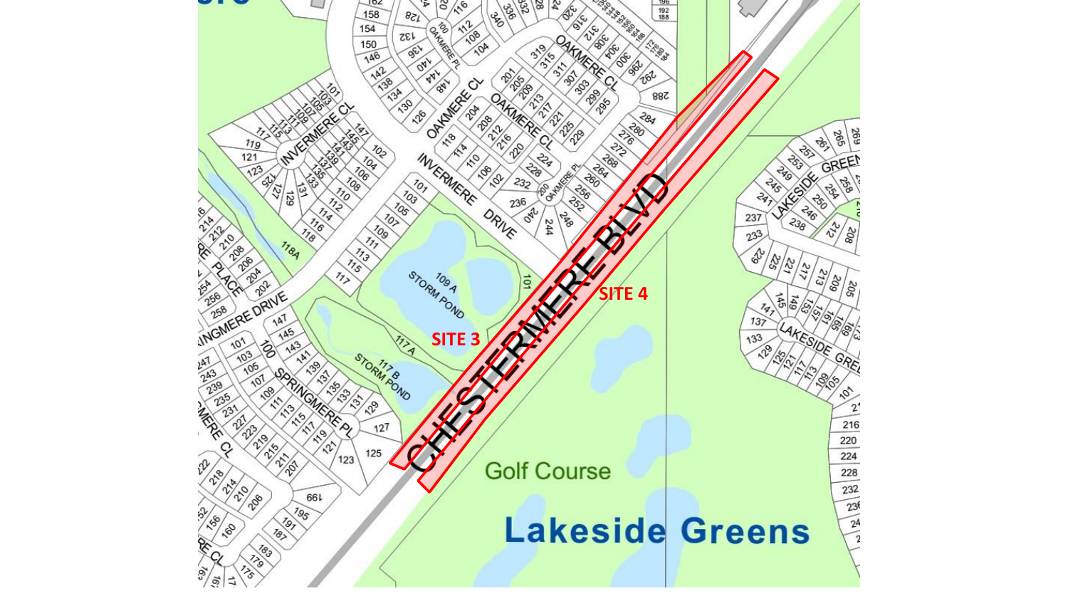